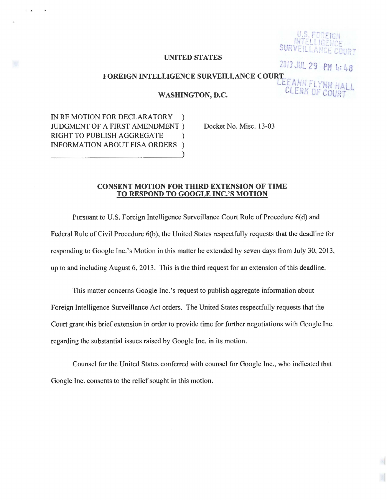## UNITED STATES

2Jf3 *..:UL* 29 *PH* !: : 48

CLERK OF COU

EANN FLYNN HALL

# FOREIGN INTELLIGENCE SURVEILLANCE COUR<mark>T</mark>

WASHINGTON, D.C.

IN RE MOTION FOR DECLARATORY ) JUDGMENT OF A FIRST AMENDMENT ) RIGHT TO PUBLISH AGGREGATE ) INFORMATION ABOUT FISA ORDERS )

 $\mathbf{r}$ 

 $\overline{a}$ 

Docket No. Misc. 13-03

### CONSENT MOTION FOR THIRD EXTENSION OF TIME TO RESPOND TO GOOGLE INC.'S MOTION

Pursuant to U.S. Foreign Intelligence Surveillance Court Rule of Procedure 6(d) and Federal Rule of Civil Procedure 6(b), the United States respectfully requests that the deadline for responding to Google Inc.'s Motion in this matter be extended by seven days from July 30, 2013, up to and including August 6, 2013. This is the third request for an extension of this deadline.

This matter concerns Google Inc.'s request to publish aggregate information about Foreign Intelligence Surveillance Act orders. The United States respectfully requests that the Court grant this brief extension in order to provide time for further negotiations with Google Inc. regarding the substantial issues raised by Google Inc. in its motion.

Counsel for the United States conferred with counsel for Google Inc., who indicated that Google Inc. consents to the relief sought in this motion.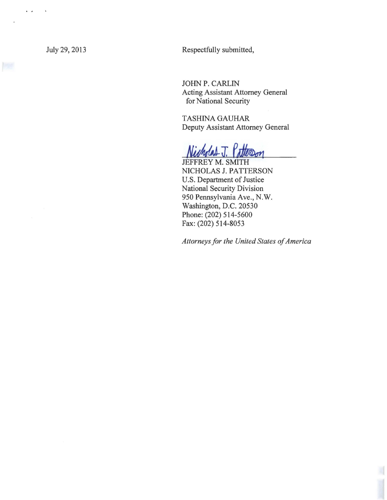$\ddot{\phantom{a}}$ 

July 29, 2013 Respectfully submitted,

JOHN P. CARLIN Acting Assistant Attorney General for National Security

TASHINA GAUHAR Deputy Assistant Attorney General

tterson

JEFFREY M. SMITH NICHOLAS J. PATTERSON U.S. Department of Justice National Security Division 950 Pennsylvania Ave., N.W. Washington, D.C. 20530 Phone: (202) 514-5600 Fax: (202) 514-8053

*Attorneys for the United States of America*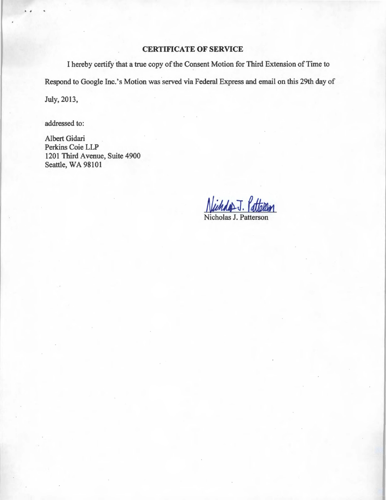# CERTIFICATE OF SERVICE

I hereby certify that a true copy of the Consent Motion for Third Extension of Time to Respond to Google Inc.'s Motion was served via Federal Express and email on this 29th day of July, 2013,

addressed to:

• #

Albert Gidari Perkins Coie LLP 1201 Third Avenue, Suite 4900 Seattle, WA 98101

Wenner J. allellen Nicholas J. Patterson